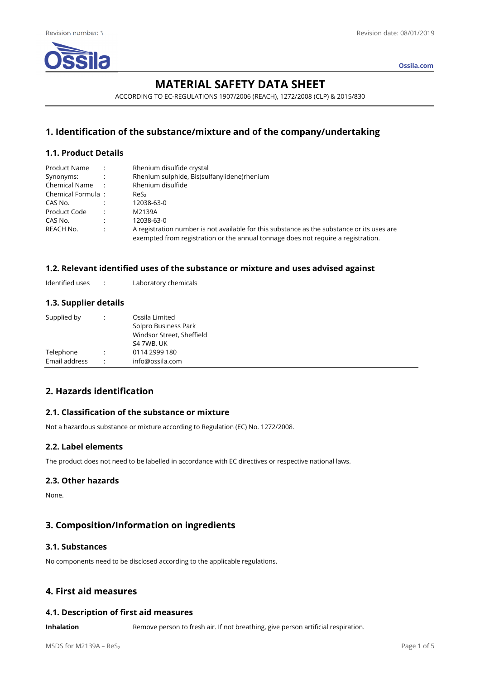

**Ossila.com**

# **MATERIAL SAFETY DATA SHEET**

ACCORDING TO EC-REGULATIONS 1907/2006 (REACH), 1272/2008 (CLP) & 2015/830

# **1. Identification of the substance/mixture and of the company/undertaking**

## **1.1. Product Details**

| Product Name      |                      | Rhenium disulfide crystal                                                                                                                                                       |
|-------------------|----------------------|---------------------------------------------------------------------------------------------------------------------------------------------------------------------------------|
| Synonyms:         | $\sim 10$            | Rhenium sulphide, Bis(sulfanylidene)rhenium                                                                                                                                     |
| Chemical Name:    |                      | Rhenium disulfide                                                                                                                                                               |
| Chemical Formula: |                      | Res <sub>2</sub>                                                                                                                                                                |
| CAS No.           |                      | 12038-63-0                                                                                                                                                                      |
| Product Code      | $\cdot$ :            | M2139A                                                                                                                                                                          |
| CAS No.           | $\ddot{\phantom{a}}$ | 12038-63-0                                                                                                                                                                      |
| REACH No.         | $\ddot{\cdot}$       | A registration number is not available for this substance as the substance or its uses are<br>exempted from registration or the annual tonnage does not require a registration. |

## **1.2. Relevant identified uses of the substance or mixture and uses advised against**

Identified uses : Laboratory chemicals

## **1.3. Supplier details**

| Supplied by   | : | Ossila Limited            |
|---------------|---|---------------------------|
|               |   | Solpro Business Park      |
|               |   | Windsor Street, Sheffield |
|               |   | S4 7WB, UK                |
| Telephone     | ٠ | 0114 2999 180             |
| Email address | ٠ | info@ossila.com           |

# **2. Hazards identification**

## **2.1. Classification of the substance or mixture**

Not a hazardous substance or mixture according to Regulation (EC) No. 1272/2008.

# **2.2. Label elements**

The product does not need to be labelled in accordance with EC directives or respective national laws.

### **2.3. Other hazards**

None.

# **3. Composition/Information on ingredients**

# **3.1. Substances**

No components need to be disclosed according to the applicable regulations.

# **4. First aid measures**

# **4.1. Description of first aid measures**

**Inhalation** Remove person to fresh air. If not breathing, give person artificial respiration.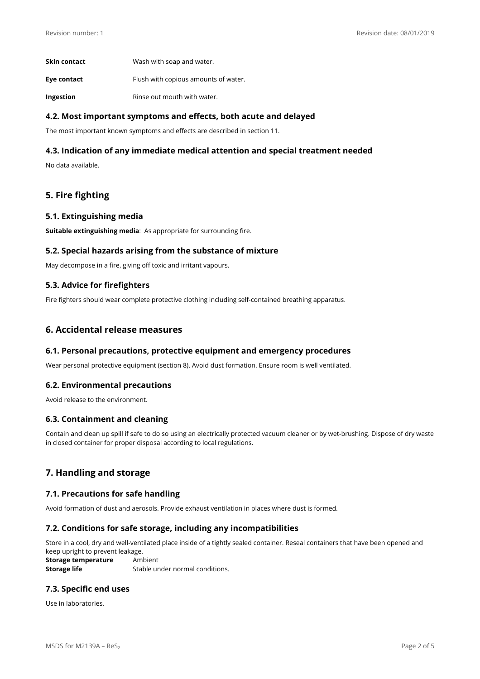| Skin contact | Wash with soap and water.            |
|--------------|--------------------------------------|
| Eye contact  | Flush with copious amounts of water. |
| Ingestion    | Rinse out mouth with water.          |

## **4.2. Most important symptoms and effects, both acute and delayed**

The most important known symptoms and effects are described in section 11.

## **4.3. Indication of any immediate medical attention and special treatment needed**

No data available.

# **5. Fire fighting**

#### **5.1. Extinguishing media**

**Suitable extinguishing media**: As appropriate for surrounding fire.

### **5.2. Special hazards arising from the substance of mixture**

May decompose in a fire, giving off toxic and irritant vapours.

### **5.3. Advice for firefighters**

Fire fighters should wear complete protective clothing including self-contained breathing apparatus.

## **6. Accidental release measures**

### **6.1. Personal precautions, protective equipment and emergency procedures**

Wear personal protective equipment (section 8). Avoid dust formation. Ensure room is well ventilated.

### **6.2. Environmental precautions**

Avoid release to the environment.

### **6.3. Containment and cleaning**

Contain and clean up spill if safe to do so using an electrically protected vacuum cleaner or by wet-brushing. Dispose of dry waste in closed container for proper disposal according to local regulations.

# **7. Handling and storage**

### **7.1. Precautions for safe handling**

Avoid formation of dust and aerosols. Provide exhaust ventilation in places where dust is formed.

### **7.2. Conditions for safe storage, including any incompatibilities**

Store in a cool, dry and well-ventilated place inside of a tightly sealed container. Reseal containers that have been opened and keep upright to prevent leakage.

**Storage temperature** Ambient **Storage life** Stable under normal conditions.

# **7.3. Specific end uses**

Use in laboratories.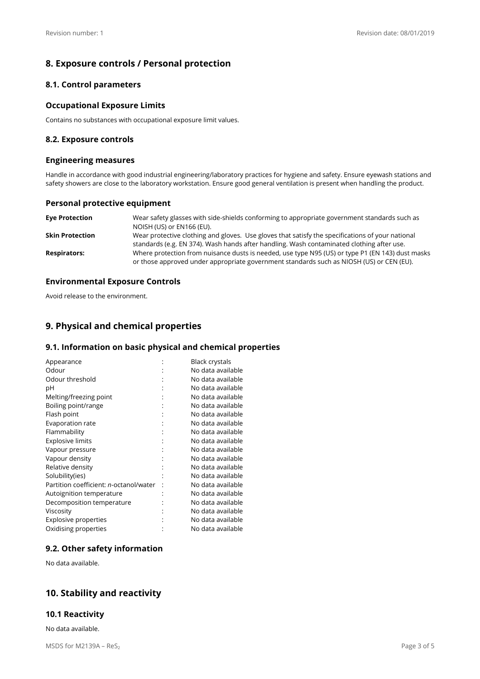# **8. Exposure controls / Personal protection**

## **8.1. Control parameters**

### **Occupational Exposure Limits**

Contains no substances with occupational exposure limit values.

### **8.2. Exposure controls**

#### **Engineering measures**

Handle in accordance with good industrial engineering/laboratory practices for hygiene and safety. Ensure eyewash stations and safety showers are close to the laboratory workstation. Ensure good general ventilation is present when handling the product.

### **Personal protective equipment**

| <b>Eye Protection</b>  | Wear safety glasses with side-shields conforming to appropriate government standards such as<br>NOISH (US) or EN166 (EU).                                                                     |
|------------------------|-----------------------------------------------------------------------------------------------------------------------------------------------------------------------------------------------|
| <b>Skin Protection</b> | Wear protective clothing and gloves. Use gloves that satisfy the specifications of your national<br>standards (e.g. EN 374). Wash hands after handling. Wash contaminated clothing after use. |
| <b>Respirators:</b>    | Where protection from nuisance dusts is needed, use type N95 (US) or type P1 (EN 143) dust masks<br>or those approved under appropriate government standards such as NIOSH (US) or CEN (EU).  |

### **Environmental Exposure Controls**

Avoid release to the environment.

# **9. Physical and chemical properties**

### **9.1. Information on basic physical and chemical properties**

| Appearance                                     | <b>Black crystals</b> |
|------------------------------------------------|-----------------------|
| Odour                                          | No data available     |
| Odour threshold                                | No data available     |
| рH                                             | No data available     |
| Melting/freezing point                         | No data available     |
| Boiling point/range                            | No data available     |
| Flash point                                    | No data available     |
| Evaporation rate                               | No data available     |
| Flammability                                   | No data available     |
| <b>Explosive limits</b>                        | No data available     |
| Vapour pressure                                | No data available     |
| Vapour density                                 | No data available     |
| Relative density                               | No data available     |
| Solubility(ies)                                | No data available     |
| Partition coefficient: <i>n</i> -octanol/water | No data available     |
| Autoignition temperature                       | No data available     |
| Decomposition temperature                      | No data available     |
| Viscosity                                      | No data available     |
| <b>Explosive properties</b>                    | No data available     |
| Oxidising properties                           | No data available     |

# **9.2. Other safety information**

No data available.

# **10. Stability and reactivity**

### **10.1 Reactivity**

No data available.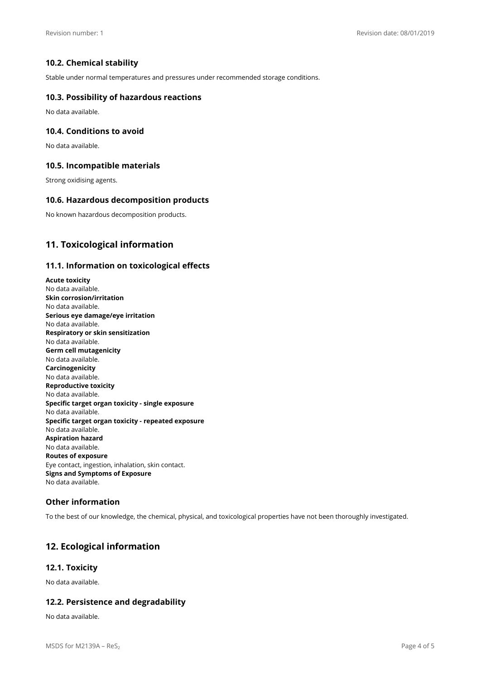## **10.2. Chemical stability**

Stable under normal temperatures and pressures under recommended storage conditions.

### **10.3. Possibility of hazardous reactions**

No data available.

#### **10.4. Conditions to avoid**

No data available.

#### **10.5. Incompatible materials**

Strong oxidising agents.

#### **10.6. Hazardous decomposition products**

No known hazardous decomposition products.

# **11. Toxicological information**

#### **11.1. Information on toxicological effects**

**Acute toxicity**  No data available. **Skin corrosion/irritation**  No data available. **Serious eye damage/eye irritation**  No data available. **Respiratory or skin sensitization**  No data available. **Germ cell mutagenicity**  No data available. **Carcinogenicity**  No data available. **Reproductive toxicity**  No data available. **Specific target organ toxicity - single exposure**  No data available. **Specific target organ toxicity - repeated exposure**  No data available. **Aspiration hazard**  No data available. **Routes of exposure**  Eye contact, ingestion, inhalation, skin contact. **Signs and Symptoms of Exposure**  No data available.

### **Other information**

To the best of our knowledge, the chemical, physical, and toxicological properties have not been thoroughly investigated.

# **12. Ecological information**

### **12.1. Toxicity**

No data available.

### **12.2. Persistence and degradability**

No data available.